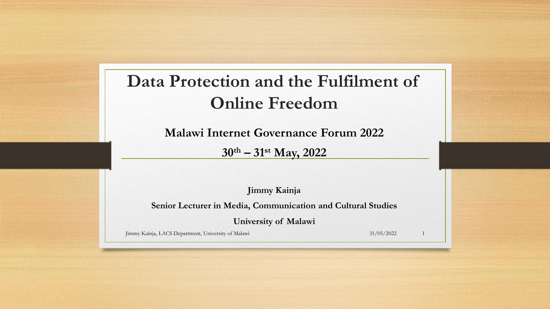#### **Data Protection and the Fulfilment of Online Freedom**

**Malawi Internet Governance Forum 2022**

**30th – 31st May, 2022**

**Jimmy Kainja**

**Senior Lecturer in Media, Communication and Cultural Studies**

**University of Malawi**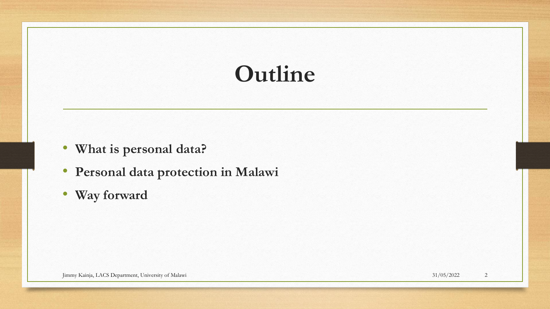## **Outline**

- **What is personal data?**
- **Personal data protection in Malawi**
- **Way forward**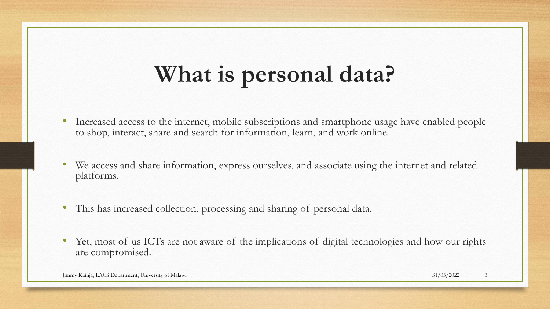# **What is personal data?**

- Increased access to the internet, mobile subscriptions and smartphone usage have enabled people to shop, interact, share and search for information, learn, and work online.
- We access and share information, express ourselves, and associate using the internet and related platforms.
- This has increased collection, processing and sharing of personal data.
- Yet, most of us ICTs are not aware of the implications of digital technologies and how our rights are compromised.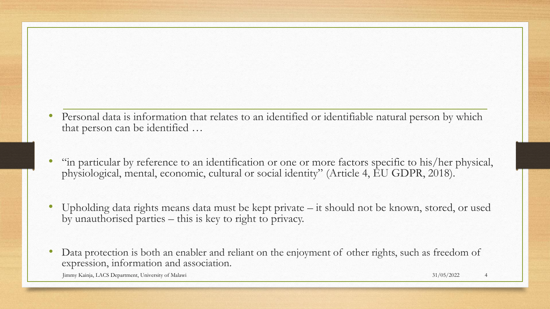- Personal data is information that relates to an identified or identifiable natural person by which that person can be identified …
- "in particular by reference to an identification or one or more factors specific to his/her physical, physiological, mental, economic, cultural or social identity" (Article 4, EU GDPR, 2018).
- Upholding data rights means data must be kept private it should not be known, stored, or used by unauthorised parties – this is key to right to privacy.
- Data protection is both an enabler and reliant on the enjoyment of other rights, such as freedom of expression, information and association.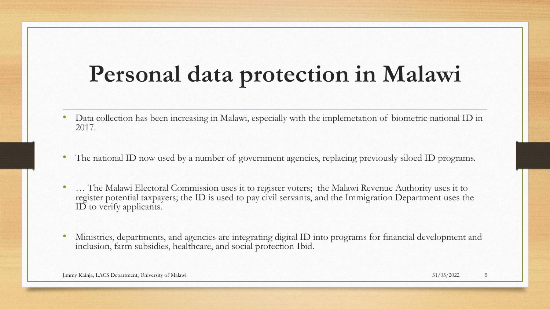## **Personal data protection in Malawi**

- Data collection has been increasing in Malawi, especially with the implemetation of biometric national ID in 2017.
- The national ID now used by a number of government agencies, replacing previously siloed ID programs.
- … The Malawi Electoral Commission uses it to register voters; the Malawi Revenue Authority uses it to register potential taxpayers; the ID is used to pay civil servants, and the Immigration Department uses the ID to verify applicants.
- Ministries, departments, and agencies are integrating digital ID into programs for financial development and inclusion, farm subsidies, healthcare, and social protection Ibid.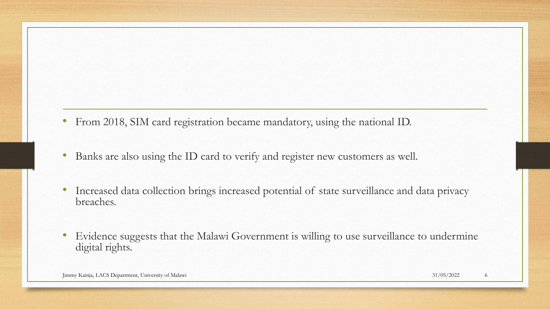- From 2018, SIM card registration became mandatory, using the national ID.
- Banks are also using the ID card to verify and register new customers as well.
- Increased data collection brings increased potential of state surveillance and data privacy breaches.
- Evidence suggests that the Malawi Government is willing to use surveillance to undermine digital rights.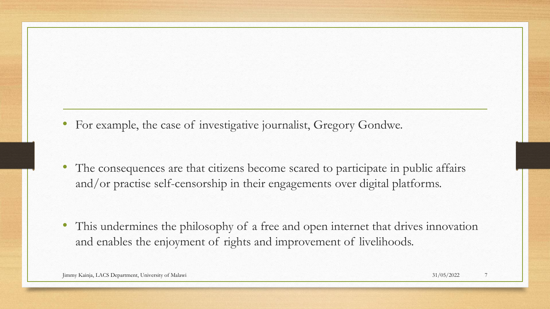- For example, the case of investigative journalist, Gregory Gondwe.
- The consequences are that citizens become scared to participate in public affairs and/or practise self-censorship in their engagements over digital platforms.
- This undermines the philosophy of a free and open internet that drives innovation and enables the enjoyment of rights and improvement of livelihoods.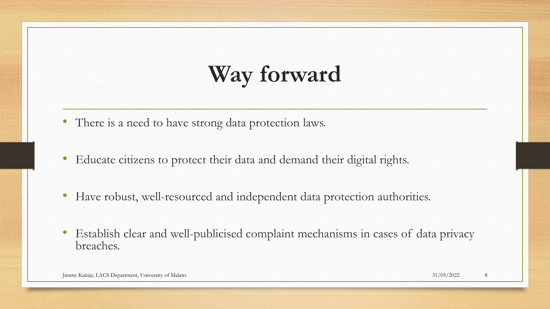## **Way forward**

- There is a need to have strong data protection laws.
- Educate citizens to protect their data and demand their digital rights.
- Have robust, well-resourced and independent data protection authorities.
- Establish clear and well-publicised complaint mechanisms in cases of data privacy breaches.